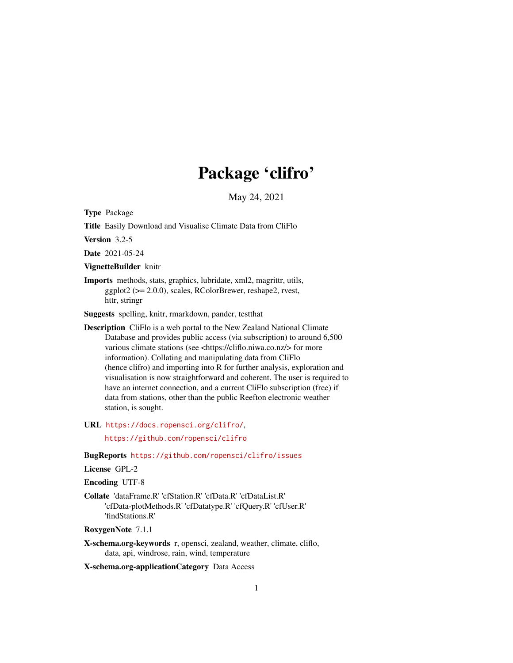# Package 'clifro'

May 24, 2021

<span id="page-0-0"></span>Type Package

Title Easily Download and Visualise Climate Data from CliFlo

Version 3.2-5

Date 2021-05-24

VignetteBuilder knitr

Imports methods, stats, graphics, lubridate, xml2, magrittr, utils, ggplot2 (>= 2.0.0), scales, RColorBrewer, reshape2, rvest, httr, stringr

Suggests spelling, knitr, rmarkdown, pander, testthat

Description CliFlo is a web portal to the New Zealand National Climate Database and provides public access (via subscription) to around 6,500 various climate stations (see <https://cliflo.niwa.co.nz/> for more information). Collating and manipulating data from CliFlo (hence clifro) and importing into R for further analysis, exploration and visualisation is now straightforward and coherent. The user is required to have an internet connection, and a current CliFlo subscription (free) if data from stations, other than the public Reefton electronic weather station, is sought.

URL <https://docs.ropensci.org/clifro/>,

<https://github.com/ropensci/clifro>

BugReports <https://github.com/ropensci/clifro/issues>

### License GPL-2

Encoding UTF-8

Collate 'dataFrame.R' 'cfStation.R' 'cfData.R' 'cfDataList.R' 'cfData-plotMethods.R' 'cfDatatype.R' 'cfQuery.R' 'cfUser.R' 'findStations.R'

RoxygenNote 7.1.1

X-schema.org-keywords r, opensci, zealand, weather, climate, cliflo, data, api, windrose, rain, wind, temperature

X-schema.org-applicationCategory Data Access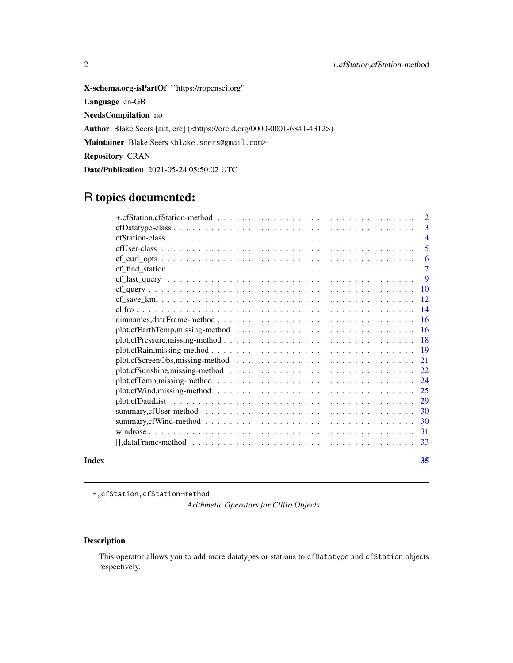<span id="page-1-0"></span>X-schema.org-isPartOf ``https://ropensci.org'' Language en-GB NeedsCompilation no Author Blake Seers [aut, cre] (<https://orcid.org/0000-0001-6841-4312>) Maintainer Blake Seers <blake.seers@gmail.com> Repository CRAN Date/Publication 2021-05-24 05:50:02 UTC

### R topics documented:

| Index |                                                                                                                                                   | 35             |
|-------|---------------------------------------------------------------------------------------------------------------------------------------------------|----------------|
|       | $[[, dataFrame-method \dots \dots \dots \dots \dots \dots \dots \dots \dots \dots \dots \dots \dots \dots \dots \dots ]$                          | -33            |
|       |                                                                                                                                                   | -31            |
|       |                                                                                                                                                   |                |
|       |                                                                                                                                                   |                |
|       |                                                                                                                                                   |                |
|       |                                                                                                                                                   | 25             |
|       |                                                                                                                                                   | -24            |
|       |                                                                                                                                                   | 22             |
|       |                                                                                                                                                   | 21             |
|       |                                                                                                                                                   | -19            |
|       |                                                                                                                                                   | <b>18</b>      |
|       |                                                                                                                                                   | -16            |
|       | dimnames, dataFrame-method $\ldots$ , $\ldots$ , $\ldots$ , $\ldots$ , $\ldots$ , $\ldots$ , $\ldots$ , $\ldots$ , $\ldots$ , $\ldots$ , $\ldots$ | -16            |
|       |                                                                                                                                                   | -14            |
|       |                                                                                                                                                   | <sup>12</sup>  |
|       | $cf_{\text{-}}query \dots \dots \dots \dots \dots \dots \dots \dots \dots \dots \dots \dots \dots \dots \dots \dots$                              | 10             |
|       |                                                                                                                                                   | 9              |
|       |                                                                                                                                                   | $\overline{7}$ |
|       |                                                                                                                                                   | 6              |
|       |                                                                                                                                                   | 5              |
|       |                                                                                                                                                   | $\overline{4}$ |
|       |                                                                                                                                                   | 3              |
|       | +, cfStation, cfStation-method $\ldots \ldots \ldots \ldots \ldots \ldots \ldots \ldots \ldots \ldots \ldots$                                     | $\overline{2}$ |

+,cfStation,cfStation-method

*Arithmetic Operators for Clifro Objects*

#### Description

This operator allows you to add more datatypes or stations to cfDatatype and cfStation objects respectively.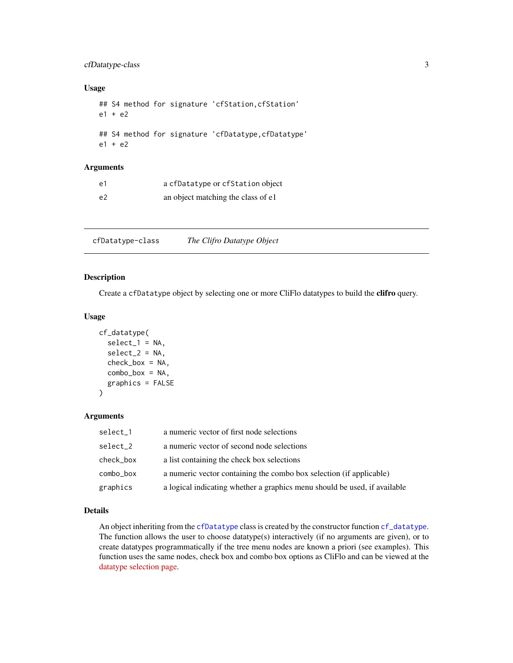#### <span id="page-2-0"></span>cfDatatype-class 3

#### Usage

```
## S4 method for signature 'cfStation, cfStation'
e1 + e2
## S4 method for signature 'cfDatatype,cfDatatype'
e1 + e2
```
#### Arguments

| e1 | a cfDatatype or cfStation object   |
|----|------------------------------------|
| e2 | an object matching the class of e1 |

cfDatatype-class *The Clifro Datatype Object*

#### <span id="page-2-1"></span>Description

Create a cfDatatype object by selecting one or more CliFlo datatypes to build the clifro query.

#### Usage

```
cf_datatype(
  select_1 = NA,
  select_2 = NA,
  check\_box = NA,
  combo_box = NA,
  graphics = FALSE
)
```
#### Arguments

| select_1  | a numeric vector of first node selections                                 |
|-----------|---------------------------------------------------------------------------|
| select_2  | a numeric vector of second node selections                                |
| check_box | a list containing the check box selections                                |
| combo_box | a numeric vector containing the combo box selection (if applicable)       |
| graphics  | a logical indicating whether a graphics menu should be used, if available |

#### Details

An object inheriting from the [cfDatatype](#page-2-1) class is created by the constructor function [cf\\_datatype](#page-2-1). The function allows the user to choose datatype(s) interactively (if no arguments are given), or to create datatypes programmatically if the tree menu nodes are known a priori (see examples). This function uses the same nodes, check box and combo box options as CliFlo and can be viewed at the [datatype selection page.](https://cliflo.niwa.co.nz/pls/niwp/wgenf.choose_datatype?cat=cat1)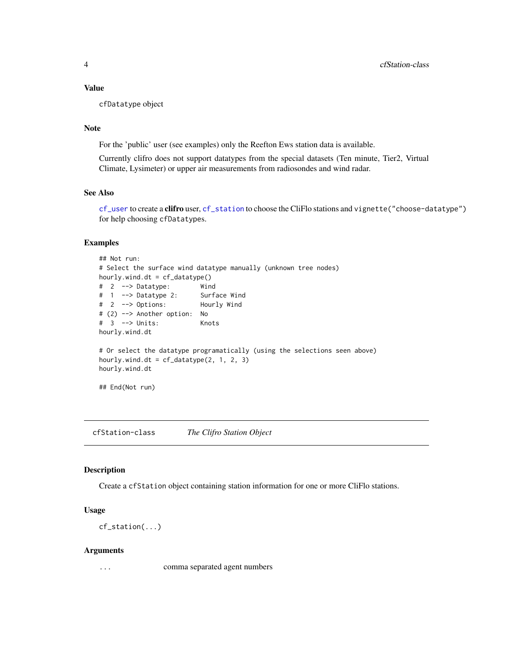#### <span id="page-3-0"></span>Value

cfDatatype object

#### Note

For the 'public' user (see examples) only the Reefton Ews station data is available.

Currently clifro does not support datatypes from the special datasets (Ten minute, Tier2, Virtual Climate, Lysimeter) or upper air measurements from radiosondes and wind radar.

#### See Also

[cf\\_user](#page-4-1) to create a clifro user, [cf\\_station](#page-3-1) to choose the CliFlo stations and vignette("choose-datatype") for help choosing cfDatatypes.

#### Examples

```
## Not run:
# Select the surface wind datatype manually (unknown tree nodes)
hourly.wind.dt = cf_datatype()
# 2 --> Datatype: Wind
# 1 --> Datatype 2: Surface Wind
# 2 --> Options: Hourly Wind
# (2) --> Another option: No
# 3 --> Units: Knots
hourly.wind.dt
# Or select the datatype programatically (using the selections seen above)
hourly.wind.dt = cf_datatype(2, 1, 2, 3)hourly.wind.dt
## End(Not run)
```
cfStation-class *The Clifro Station Object*

#### <span id="page-3-1"></span>Description

Create a cfStation object containing station information for one or more CliFlo stations.

#### Usage

cf\_station(...)

#### Arguments

... comma separated agent numbers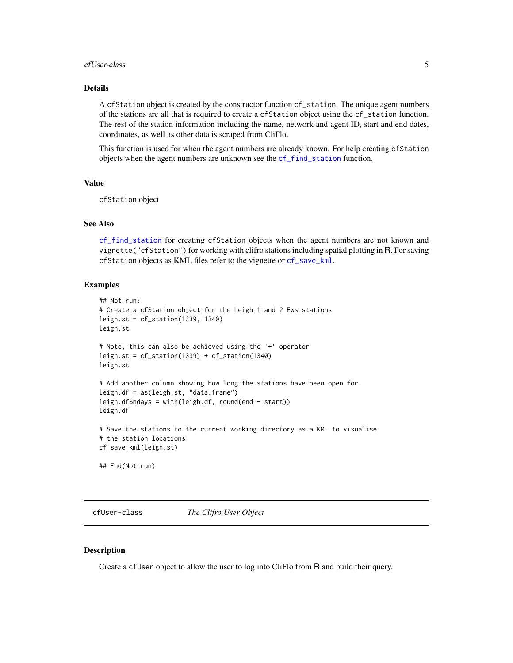#### <span id="page-4-0"></span>cfUser-class 5

#### Details

A cfStation object is created by the constructor function cf\_station. The unique agent numbers of the stations are all that is required to create a cfStation object using the cf\_station function. The rest of the station information including the name, network and agent ID, start and end dates, coordinates, as well as other data is scraped from CliFlo.

This function is used for when the agent numbers are already known. For help creating cfStation objects when the agent numbers are unknown see the [cf\\_find\\_station](#page-6-1) function.

#### Value

cfStation object

#### See Also

[cf\\_find\\_station](#page-6-1) for creating cfStation objects when the agent numbers are not known and vignette("cfStation") for working with clifro stations including spatial plotting in R. For saving cfStation objects as KML files refer to the vignette or [cf\\_save\\_kml](#page-11-1).

#### Examples

```
## Not run:
# Create a cfStation object for the Leigh 1 and 2 Ews stations
leigh.st = cf_station(1339, 1340)
leigh.st
# Note, this can also be achieved using the '+' operator
leigh.st = cf_station(1339) + cf_station(1340)
leigh.st
# Add another column showing how long the stations have been open for
leigh.df = as(leigh.st, "data.frame")
leigh.df$ndays = with(leigh.df, round(end - start))
leigh.df
# Save the stations to the current working directory as a KML to visualise
# the station locations
cf_save_kml(leigh.st)
## End(Not run)
```
cfUser-class *The Clifro User Object*

#### <span id="page-4-1"></span>**Description**

Create a cfUser object to allow the user to log into CliFlo from R and build their query.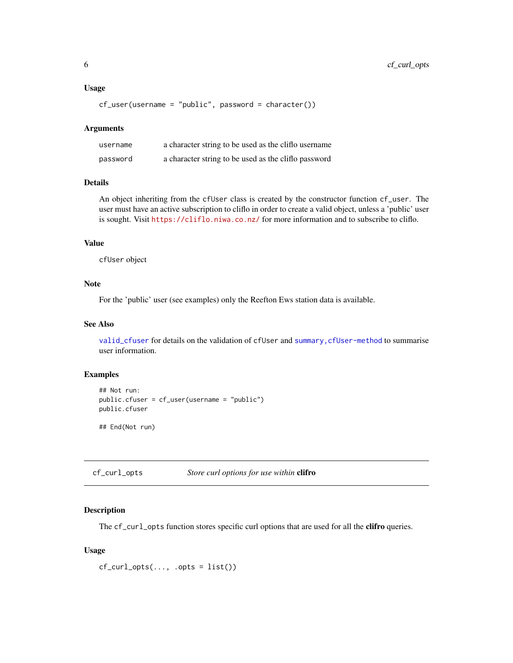#### <span id="page-5-0"></span>Usage

 $cf\_user(username = "public", password = character())$ 

#### Arguments

| username | a character string to be used as the clifto username |
|----------|------------------------------------------------------|
| password | a character string to be used as the clifto password |

#### Details

An object inheriting from the cfUser class is created by the constructor function cf\_user. The user must have an active subscription to cliflo in order to create a valid object, unless a 'public' user is sought. Visit <https://cliflo.niwa.co.nz/> for more information and to subscribe to cliflo.

#### Value

cfUser object

#### Note

For the 'public' user (see examples) only the Reefton Ews station data is available.

#### See Also

[valid\\_cfuser](#page-0-0) for details on the validation of cfUser and [summary,cfUser-method](#page-0-0) to summarise user information.

#### Examples

```
## Not run:
public.cfuser = cf_user(username = "public")
public.cfuser
## End(Not run)
```
cf\_curl\_opts *Store curl options for use within* clifro

#### Description

The cf\_curl\_opts function stores specific curl options that are used for all the clifro queries.

#### Usage

 $cf\_curl\_opts(..., .opts = list())$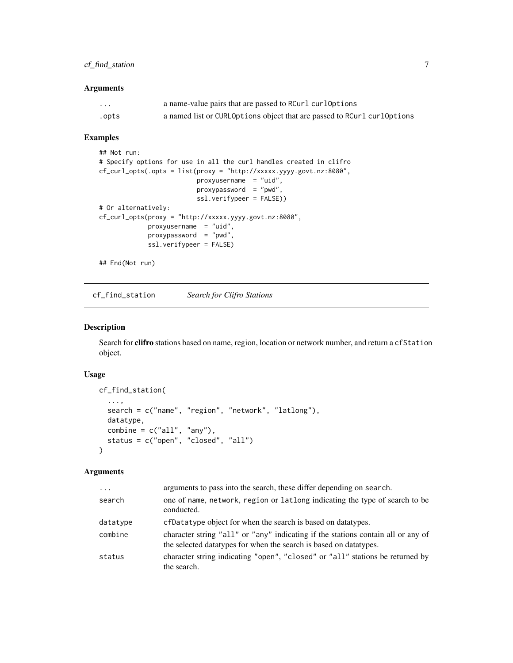### <span id="page-6-0"></span>cf\_find\_station 7

#### Arguments

| $\cdots$ | a name-value pairs that are passed to RCurl curlOptions                 |
|----------|-------------------------------------------------------------------------|
| .opts    | a named list or CURLOptions object that are passed to RCurl curlOptions |

#### Examples

```
## Not run:
# Specify options for use in all the curl handles created in clifro
cf_curl_opts(.opts = list(proxy = "http://xxxxx.yyyy.govt.nz:8080",
                         proxyusername = "uid",
                         proxypassword = "pwd",
                          ssl.verifypeer = FALSE))
# Or alternatively:
cf_curl_opts(proxy = "http://xxxxx.yyyy.govt.nz:8080",
            proxyusername = "uid",
            proxypassword = "pwd",
            ssl.verifypeer = FALSE)
## End(Not run)
```
<span id="page-6-1"></span>cf\_find\_station *Search for Clifro Stations*

#### Description

Search for **clifro** stations based on name, region, location or network number, and return a cfStation object.

#### Usage

```
cf_find_station(
  ...,
  search = c("name", "region", "network", "latlong"),
 datatype,
 combine = c("all", "any"),status = c("open", "closed", "all")
)
```
#### Arguments

| arguments to pass into the search, these differ depending on search.                                                                                  |
|-------------------------------------------------------------------------------------------------------------------------------------------------------|
| one of name, network, region or latlong indicating the type of search to be<br>conducted.                                                             |
| cfDatatype object for when the search is based on datatypes.                                                                                          |
| character string "all" or "any" indicating if the stations contain all or any of<br>the selected datatypes for when the search is based on datatypes. |
| character string indicating "open", "closed" or "all" stations be returned by<br>the search.                                                          |
|                                                                                                                                                       |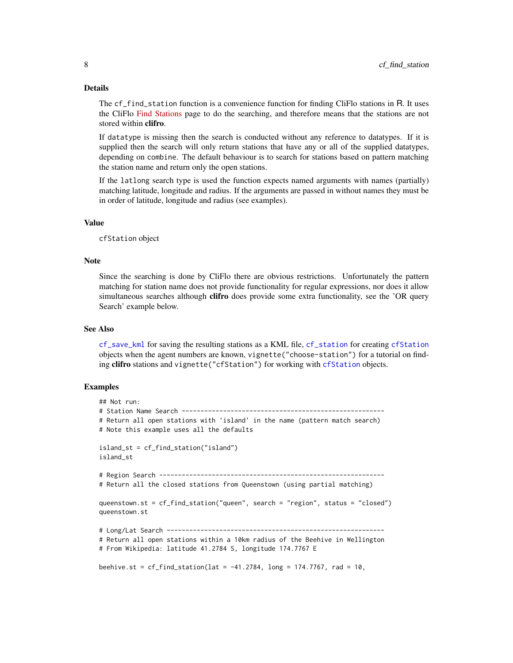#### <span id="page-7-0"></span>Details

The cf\_find\_station function is a convenience function for finding CliFlo stations in R. It uses the CliFlo [Find Stations](https://cliflo.niwa.co.nz/pls/niwp/wstn.get_stn_html) page to do the searching, and therefore means that the stations are not stored within clifro.

If datatype is missing then the search is conducted without any reference to datatypes. If it is supplied then the search will only return stations that have any or all of the supplied datatypes, depending on combine. The default behaviour is to search for stations based on pattern matching the station name and return only the open stations.

If the latlong search type is used the function expects named arguments with names (partially) matching latitude, longitude and radius. If the arguments are passed in without names they must be in order of latitude, longitude and radius (see examples).

#### Value

cfStation object

#### Note

Since the searching is done by CliFlo there are obvious restrictions. Unfortunately the pattern matching for station name does not provide functionality for regular expressions, nor does it allow simultaneous searches although clifro does provide some extra functionality, see the 'OR query Search' example below.

#### See Also

[cf\\_save\\_kml](#page-11-1) for saving the resulting stations as a KML file, [cf\\_station](#page-3-1) for creating [cfStation](#page-3-1) objects when the agent numbers are known, vignette("choose-station") for a tutorial on finding clifro stations and vignette("[cfStation](#page-3-1)") for working with cfStation objects.

#### Examples

```
## Not run:
# Station Name Search ------------------------------------------------------
# Return all open stations with 'island' in the name (pattern match search)
# Note this example uses all the defaults
island_st = cf_find_station("island")
island_st
# Region Search ------------------------------------------------------------
# Return all the closed stations from Queenstown (using partial matching)
queenstown.st = cf_find_station("queen", search = "region", status = "closed")
queenstown.st
# Long/Lat Search ----------------------------------------------------------
# Return all open stations within a 10km radius of the Beehive in Wellington
# From Wikipedia: latitude 41.2784 S, longitude 174.7767 E
beehive.st = cf_find_sation(lat = -41.2784, long = 174.7767, rad = 10,
```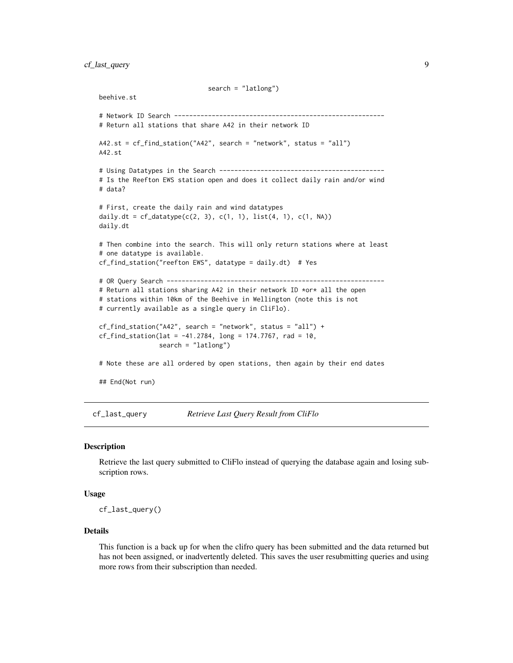<span id="page-8-0"></span>cf\_last\_query 9

beehive.st

A42.st

# data?

```
search = "latlong")
# Network ID Search --------------------------------------------------------
# Return all stations that share A42 in their network ID
A42.st = cf_find_station("A42", search = "network", status = "all")
# Using Datatypes in the Search --------------------------------------------
# Is the Reefton EWS station open and does it collect daily rain and/or wind
```

```
# First, create the daily rain and wind datatypes
daily.dt = cf\_datatype(c(2, 3), c(1, 1), list(4, 1), c(1, NA))daily.dt
```

```
# Then combine into the search. This will only return stations where at least
# one datatype is available.
```

```
cf_find_station("reefton EWS", datatype = daily.dt) # Yes
```
# OR Query Search ----------------------------------------------------------

```
# Return all stations sharing A42 in their network ID *or* all the open
# stations within 10km of the Beehive in Wellington (note this is not
# currently available as a single query in CliFlo).
```

```
cf_find_sation("A42", search = "network", status = "all") +cf_find_station(lat = -41.2784, long = 174.7767, rad = 10,
               search = "latlong")
```
# Note these are all ordered by open stations, then again by their end dates

## End(Not run)

cf\_last\_query *Retrieve Last Query Result from CliFlo*

#### Description

Retrieve the last query submitted to CliFlo instead of querying the database again and losing subscription rows.

#### Usage

cf\_last\_query()

#### Details

This function is a back up for when the clifro query has been submitted and the data returned but has not been assigned, or inadvertently deleted. This saves the user resubmitting queries and using more rows from their subscription than needed.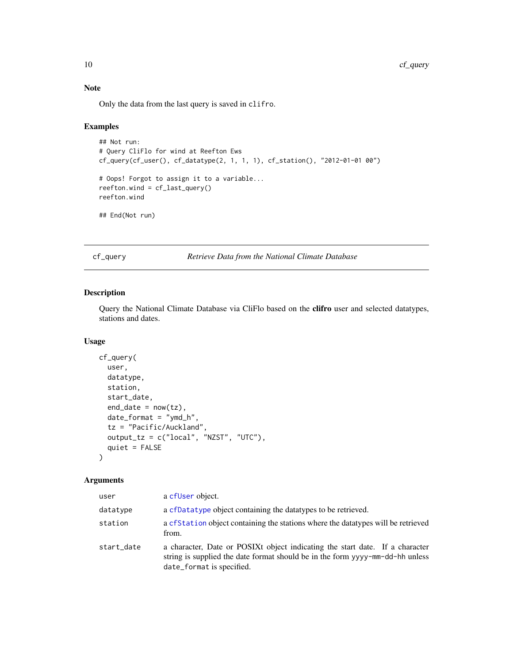#### <span id="page-9-0"></span>Note

Only the data from the last query is saved in clifro.

#### Examples

```
## Not run:
# Query CliFlo for wind at Reefton Ews
cf_query(cf_user(), cf_datatype(2, 1, 1, 1), cf_station(), "2012-01-01 00")
# Oops! Forgot to assign it to a variable...
reefton.wind = cf_last_query()
reefton.wind
## End(Not run)
```
<span id="page-9-1"></span>cf\_query *Retrieve Data from the National Climate Database*

#### Description

Query the National Climate Database via CliFlo based on the clifro user and selected datatypes, stations and dates.

#### Usage

```
cf_query(
  user,
  datatype,
  station,
  start_date,
  end_data = now(tz),date_format = "ymd_h",tz = "Pacific/Auckland",
  output_tz = c("local", "NZST", "UTC"),
  quiet = FALSE
)
```
#### Arguments

| user       | a cfUser object.                                                                                                                                                                           |
|------------|--------------------------------------------------------------------------------------------------------------------------------------------------------------------------------------------|
| datatype   | a cfDatatype object containing the datatypes to be retrieved.                                                                                                                              |
| station    | a cf Station object containing the stations where the data types will be retrieved<br>from.                                                                                                |
| start_date | a character, Date or POSIXt object indicating the start date. If a character<br>string is supplied the date format should be in the form yyyy-mm-dd-hh unless<br>date_format is specified. |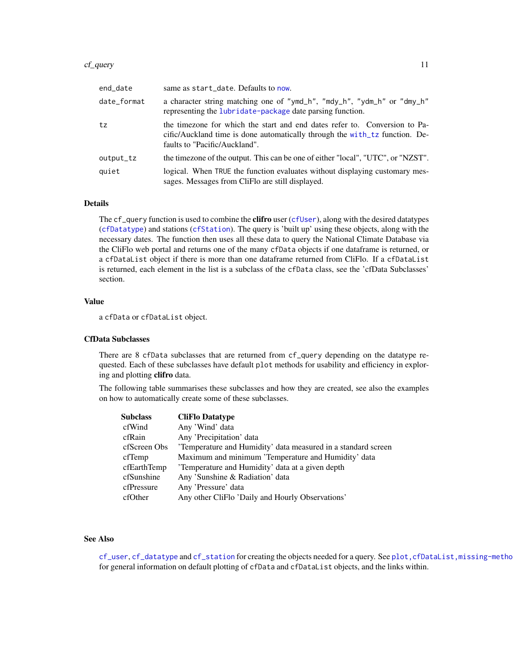#### <span id="page-10-0"></span>cf\_query 11

| end_date    | same as start_date. Defaults to now.                                                                                                                                                       |
|-------------|--------------------------------------------------------------------------------------------------------------------------------------------------------------------------------------------|
| date_format | a character string matching one of "ymd_h", "mdy_h", "ydm_h" or "dmy_h"<br>representing the lubridate-package date parsing function.                                                       |
| tz          | the timezone for which the start and end dates refer to. Conversion to Pa-<br>cific/Auckland time is done automatically through the with tz function. De-<br>faults to "Pacific/Auckland". |
| output_tz   | the timezone of the output. This can be one of either "local", "UTC", or "NZST".                                                                                                           |
| quiet       | logical. When TRUE the function evaluates without displaying customary mes-<br>sages. Messages from CliFlo are still displayed.                                                            |

#### Details

The cf\_query function is used to combine the **clifro** user ([cfUser](#page-4-1)), along with the desired datatypes ([cfDatatype](#page-2-1)) and stations ([cfStation](#page-3-1)). The query is 'built up' using these objects, along with the necessary dates. The function then uses all these data to query the National Climate Database via the CliFlo web portal and returns one of the many cfData objects if one dataframe is returned, or a cfDataList object if there is more than one dataframe returned from CliFlo. If a cfDataList is returned, each element in the list is a subclass of the cfData class, see the 'cfData Subclasses' section.

#### Value

a cfData or cfDataList object.

#### CfData Subclasses

There are 8 cfData subclasses that are returned from cf\_query depending on the datatype requested. Each of these subclasses have default plot methods for usability and efficiency in exploring and plotting clifro data.

The following table summarises these subclasses and how they are created, see also the examples on how to automatically create some of these subclasses.

| Subclass     | <b>CliFlo Datatype</b>                                       |
|--------------|--------------------------------------------------------------|
| cfWind       | Any 'Wind' data                                              |
| cfRain       | Any 'Precipitation' data                                     |
| cfScreen Obs | Temperature and Humidity' data measured in a standard screen |
| cfTemp       | Maximum and minimum 'Temperature and Humidity' data          |
| cfEarthTemp  | Temperature and Humidity' data at a given depth              |
| cfSunshine   | Any 'Sunshine & Radiation' data                              |
| cfPressure   | Any 'Pressure' data                                          |
| cfOther      | Any other CliFlo 'Daily and Hourly Observations'             |

#### See Also

[cf\\_user](#page-4-1), [cf\\_datatype](#page-2-1) and [cf\\_station](#page-3-1) for creating the objects needed for a query. See [plot,cfDataList,missing-method](#page-0-0) for general information on default plotting of cfData and cfDataList objects, and the links within.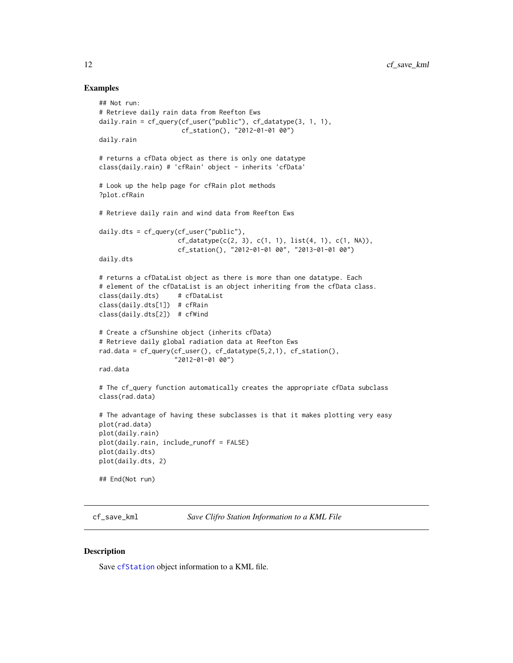#### Examples

```
## Not run:
# Retrieve daily rain data from Reefton Ews
daily.rain = cf_query(cf_user("public"), cf_datatype(3, 1, 1),
                      cf_station(), "2012-01-01 00")
daily.rain
# returns a cfData object as there is only one datatype
class(daily.rain) # 'cfRain' object - inherits 'cfData'
# Look up the help page for cfRain plot methods
?plot.cfRain
# Retrieve daily rain and wind data from Reefton Ews
daily.dts = cf_query(cf_user("public"),
                     cf\_datatype(c(2, 3), c(1, 1), list(4, 1), c(1, NA)),cf_station(), "2012-01-01 00", "2013-01-01 00")
daily.dts
# returns a cfDataList object as there is more than one datatype. Each
# element of the cfDataList is an object inheriting from the cfData class.
class(daily.dts) # cfDataList
class(daily.dts[1]) # cfRain
class(daily.dts[2]) # cfWind
# Create a cfSunshine object (inherits cfData)
# Retrieve daily global radiation data at Reefton Ews
rad.data = cf_query(cf_user(), cf_datatype(5,2,1), cf_station(),
                    "2012-01-01 00")
rad.data
# The cf_query function automatically creates the appropriate cfData subclass
class(rad.data)
# The advantage of having these subclasses is that it makes plotting very easy
plot(rad.data)
plot(daily.rain)
plot(daily.rain, include_runoff = FALSE)
plot(daily.dts)
plot(daily.dts, 2)
## End(Not run)
```
<span id="page-11-1"></span>cf\_save\_kml *Save Clifro Station Information to a KML File*

#### Description

Save [cfStation](#page-3-1) object information to a KML file.

<span id="page-11-0"></span>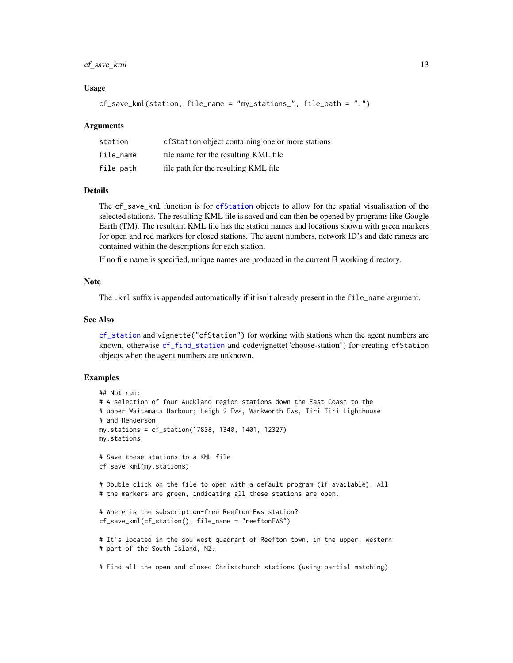#### <span id="page-12-0"></span>cf\_save\_kml 13

#### Usage

```
cf_save_kml(station, file_name = "my_stations_", file_path = ".")
```
#### Arguments

| station   | cf Station object containing one or more stations |
|-----------|---------------------------------------------------|
| file name | file name for the resulting KML file              |
| file_path | file path for the resulting KML file              |

#### Details

The cf\_save\_kml function is for [cfStation](#page-3-1) objects to allow for the spatial visualisation of the selected stations. The resulting KML file is saved and can then be opened by programs like Google Earth (TM). The resultant KML file has the station names and locations shown with green markers for open and red markers for closed stations. The agent numbers, network ID's and date ranges are contained within the descriptions for each station.

If no file name is specified, unique names are produced in the current R working directory.

#### **Note**

The .kml suffix is appended automatically if it isn't already present in the file\_name argument.

#### See Also

[cf\\_station](#page-3-1) and vignette("cfStation") for working with stations when the agent numbers are known, otherwise [cf\\_find\\_station](#page-6-1) and codevignette("choose-station") for creating cfStation objects when the agent numbers are unknown.

#### Examples

```
## Not run:
# A selection of four Auckland region stations down the East Coast to the
# upper Waitemata Harbour; Leigh 2 Ews, Warkworth Ews, Tiri Tiri Lighthouse
# and Henderson
my.stations = cf_station(17838, 1340, 1401, 12327)
my.stations
# Save these stations to a KML file
cf_save_kml(my.stations)
# Double click on the file to open with a default program (if available). All
# the markers are green, indicating all these stations are open.
# Where is the subscription-free Reefton Ews station?
cf_save_kml(cf_station(), file_name = "reeftonEWS")
# It's located in the sou'west quadrant of Reefton town, in the upper, western
# part of the South Island, NZ.
# Find all the open and closed Christchurch stations (using partial matching)
```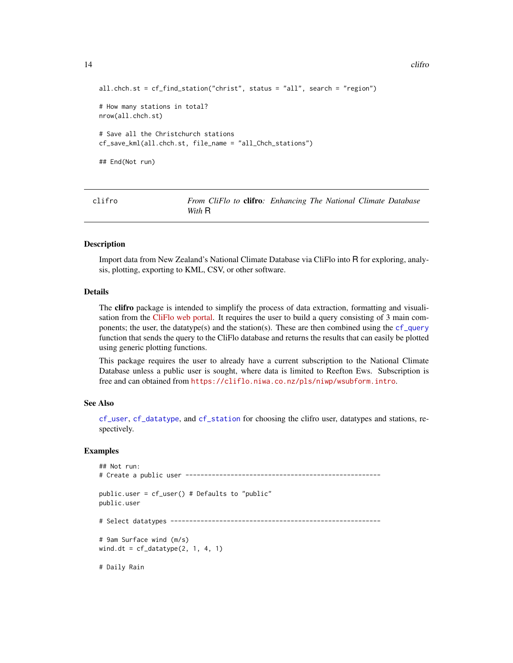```
14 clifrom the cliff of the cliff of the cliff of the cliff of the cliff of the cliff of the cliff of the cliff of the cliff of the cliff of the cliff of the cliff of the cliff of the cliff of the cliff of the cliff of the
```

```
all.chch.st = cf_find_station("christ", status = "all", search = "region")
# How many stations in total?
nrow(all.chch.st)
# Save all the Christchurch stations
cf_save_kml(all.chch.st, file_name = "all_Chch_stations")
## End(Not run)
```
clifro *From CliFlo to* clifro*: Enhancing The National Climate Database With* R

#### Description

Import data from New Zealand's National Climate Database via CliFlo into R for exploring, analysis, plotting, exporting to KML, CSV, or other software.

#### Details

The **clifro** package is intended to simplify the process of data extraction, formatting and visualisation from the [CliFlo web portal.](https://cliflo.niwa.co.nz/) It requires the user to build a query consisting of 3 main components; the user, the datatype(s) and the station(s). These are then combined using the  $cf_{query}$ function that sends the query to the CliFlo database and returns the results that can easily be plotted using generic plotting functions.

This package requires the user to already have a current subscription to the National Climate Database unless a public user is sought, where data is limited to Reefton Ews. Subscription is free and can obtained from <https://cliflo.niwa.co.nz/pls/niwp/wsubform.intro>.

#### See Also

[cf\\_user](#page-4-1), [cf\\_datatype](#page-2-1), and [cf\\_station](#page-3-1) for choosing the clifro user, datatypes and stations, respectively.

#### **Examples**

```
## Not run:
# Create a public user ----------------------------------------------------
public.user = cf_user() # Defaults to "public"
public.user
# Select datatypes --------------------------------------------------------
# 9am Surface wind (m/s)
wind.dt = cf_datatype(2, 1, 4, 1)# Daily Rain
```
<span id="page-13-0"></span>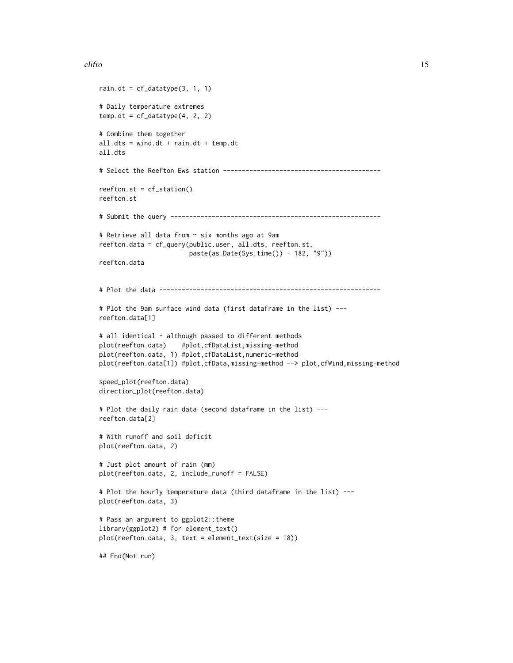#### clifro that the contract of the contract of the contract of the contract of the contract of the contract of the contract of the contract of the contract of the contract of the contract of the contract of the contract of th

```
rain.dt = cf_datatype(3, 1, 1)# Daily temperature extremes
temp.dt = cf_datatype(4, 2, 2)# Combine them together
all.dts = wind.dt + rain.dt + temp.dt
all.dts
# Select the Reefton Ews station ------------------------------------------
reefton.st = cf_station()
reefton.st
# Submit the query --------------------------------------------------------
# Retrieve all data from ~ six months ago at 9am
reefton.data = cf_query(public.user, all.dts, reefton.st,
                       paste(as.Date(Sys.time()) - 182, "9"))
reefton.data
# Plot the data -----------------------------------------------------------
# Plot the 9am surface wind data (first dataframe in the list) ---
reefton.data[1]
# all identical - although passed to different methods
plot(reefton.data) #plot,cfDataList,missing-method
plot(reefton.data, 1) #plot,cfDataList,numeric-method
plot(reefton.data[1]) #plot,cfData,missing-method --> plot,cfWind,missing-method
speed_plot(reefton.data)
direction_plot(reefton.data)
# Plot the daily rain data (second dataframe in the list) ---
reefton.data[2]
# With runoff and soil deficit
plot(reefton.data, 2)
# Just plot amount of rain (mm)
plot(reefton.data, 2, include_runoff = FALSE)
# Plot the hourly temperature data (third dataframe in the list) ---
plot(reefton.data, 3)
# Pass an argument to ggplot2::theme
library(ggplot2) # for element_text()
plot(reefton.data, 3, text = element_text(size = 18))
## End(Not run)
```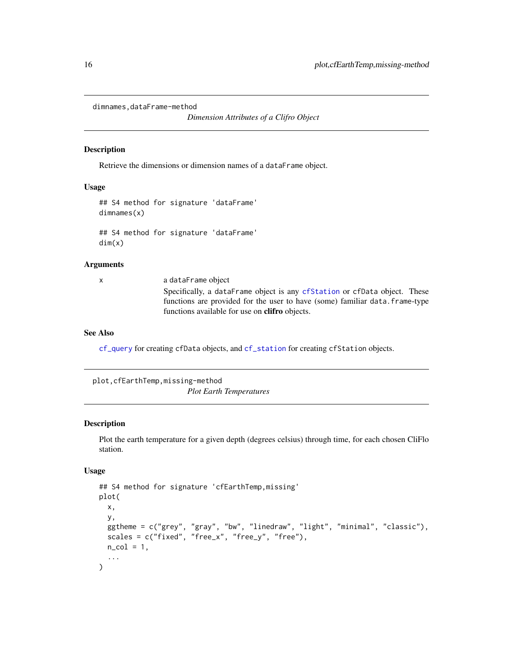<span id="page-15-0"></span>dimnames,dataFrame-method

*Dimension Attributes of a Clifro Object*

#### Description

Retrieve the dimensions or dimension names of a dataFrame object.

#### Usage

```
## S4 method for signature 'dataFrame'
dimnames(x)
## S4 method for signature 'dataFrame'
```
dim(x)

#### Arguments

x a dataFrame object Specifically, a dataFrame object is any [cfStation](#page-3-1) or cfData object. These functions are provided for the user to have (some) familiar data.frame-type functions available for use on clifro objects.

#### See Also

[cf\\_query](#page-9-1) for creating cfData objects, and [cf\\_station](#page-3-1) for creating cfStation objects.

plot,cfEarthTemp,missing-method *Plot Earth Temperatures*

#### <span id="page-15-1"></span>Description

Plot the earth temperature for a given depth (degrees celsius) through time, for each chosen CliFlo station.

#### Usage

```
## S4 method for signature 'cfEarthTemp,missing'
plot(
 x,
 y,
 ggtheme = c("grey", "gray", "bw", "linedraw", "light", "minimal", "classic"),
  scales = c("fixed", "free_x", "free_y", "free", "free",n_{col} = 1,
  ...
)
```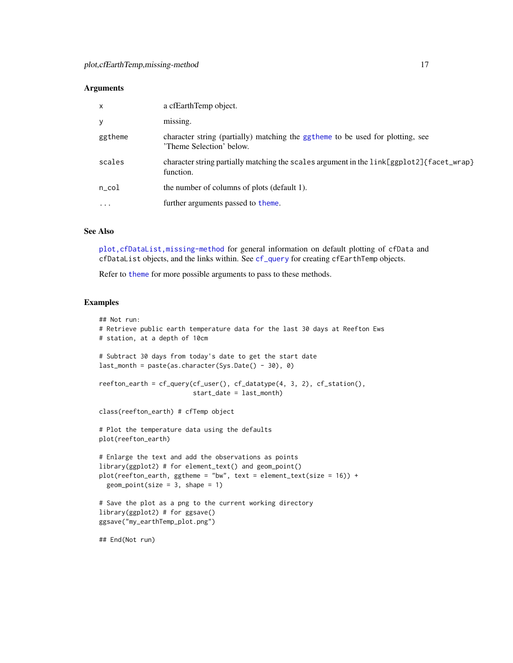#### <span id="page-16-0"></span>**Arguments**

| $\mathsf{x}$ | a cfEarthTemp object.                                                                                      |
|--------------|------------------------------------------------------------------------------------------------------------|
| y            | missing.                                                                                                   |
| ggtheme      | character string (partially) matching the ggtheme to be used for plotting, see<br>'Theme Selection' below. |
| scales       | character string partially matching the scales argument in the link[ggplot2]{facet_wrap}<br>function.      |
| $n\_{col}$   | the number of columns of plots (default 1).                                                                |
| $\cdot$      | further arguments passed to theme.                                                                         |

#### See Also

[plot,cfDataList,missing-method](#page-0-0) for general information on default plotting of cfData and cfDataList objects, and the links within. See [cf\\_query](#page-9-1) for creating cfEarthTemp objects.

Refer to [theme](#page-0-0) for more possible arguments to pass to these methods.

#### Examples

```
## Not run:
# Retrieve public earth temperature data for the last 30 days at Reefton Ews
# station, at a depth of 10cm
# Subtract 30 days from today's date to get the start date
last_month = paste(as.character(Sys.Date() - 30), 0)
reefton_earth = cf_query(cf_user(), cf_datatype(4, 3, 2), cf_station(),
                         start_date = last_month)
class(reefton_earth) # cfTemp object
# Plot the temperature data using the defaults
plot(reefton_earth)
# Enlarge the text and add the observations as points
library(ggplot2) # for element_text() and geom_point()
plot(reefton\_earth, ggheme = "bw", text = element\_text(size = 16)) +geom\_point(size = 3, shape = 1)# Save the plot as a png to the current working directory
library(ggplot2) # for ggsave()
ggsave("my_earthTemp_plot.png")
## End(Not run)
```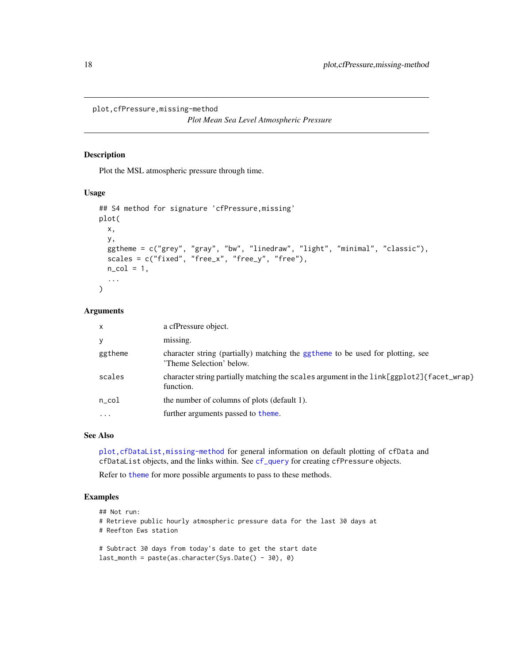<span id="page-17-0"></span>plot,cfPressure,missing-method

*Plot Mean Sea Level Atmospheric Pressure*

#### <span id="page-17-1"></span>Description

Plot the MSL atmospheric pressure through time.

#### Usage

```
## S4 method for signature 'cfPressure,missing'
plot(
 x,
 y,
  ggtheme = c("grey", "gray", "bw", "linedraw", "light", "minimal", "classic"),
  scales = c("fixed", "free_x", "free_y", "free",n_{col} = 1,
  ...
)
```
#### Arguments

| $\mathsf{x}$            | a cfPressure object.                                                                                       |
|-------------------------|------------------------------------------------------------------------------------------------------------|
| У                       | missing.                                                                                                   |
| ggtheme                 | character string (partially) matching the ggtheme to be used for plotting, see<br>'Theme Selection' below. |
| scales                  | character string partially matching the scales argument in the link[ggplot2]{facet_wrap}<br>function.      |
| $n\_{col}$              | the number of columns of plots (default 1).                                                                |
| $\cdot$ $\cdot$ $\cdot$ | further arguments passed to theme.                                                                         |

#### See Also

[plot,cfDataList,missing-method](#page-0-0) for general information on default plotting of cfData and cfDataList objects, and the links within. See [cf\\_query](#page-9-1) for creating cfPressure objects.

Refer to [theme](#page-0-0) for more possible arguments to pass to these methods.

#### Examples

```
## Not run:
# Retrieve public hourly atmospheric pressure data for the last 30 days at
# Reefton Ews station
# Subtract 30 days from today's date to get the start date
```

```
last_month = paste(as.character(Sys.Date() - 30), 0)
```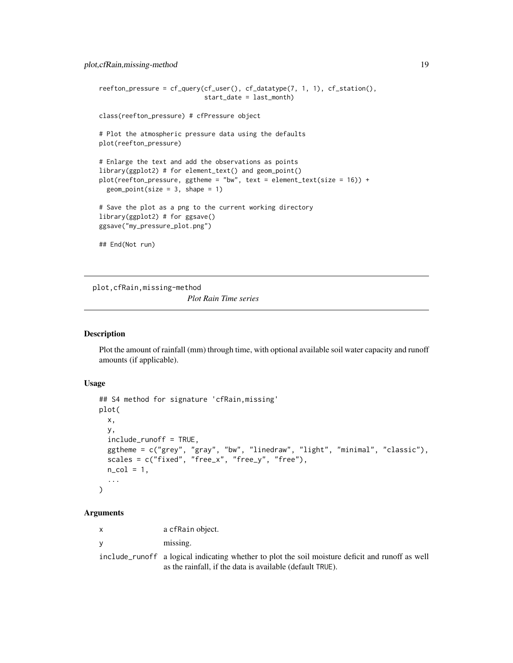```
reefton_pressure = cf_query(cf_user(), cf_datatype(7, 1, 1), cf_station(),
                            start_date = last_month)
class(reefton_pressure) # cfPressure object
# Plot the atmospheric pressure data using the defaults
plot(reefton_pressure)
# Enlarge the text and add the observations as points
library(ggplot2) # for element_text() and geom_point()
plot(reefton_pressure, ggtheme = "bw", text = element_text(size = 16)) +
 geom\_point(size = 3, shape = 1)# Save the plot as a png to the current working directory
library(ggplot2) # for ggsave()
ggsave("my_pressure_plot.png")
## End(Not run)
```
plot,cfRain,missing-method

*Plot Rain Time series*

#### <span id="page-18-1"></span>Description

Plot the amount of rainfall (mm) through time, with optional available soil water capacity and runoff amounts (if applicable).

#### Usage

```
## S4 method for signature 'cfRain,missing'
plot(
  x,
  y,
  include_runoff = TRUE,
  ggtheme = c("grey", "gray", "bw", "linedraw", "light", "minimal", "classic"),
  scales = c("fixed", "free_x", "free_y", "free_y", "free",n_{col} = 1,
  ...
\lambda
```
#### Arguments

x a cfRain object.

y missing.

include\_runoff a logical indicating whether to plot the soil moisture deficit and runoff as well as the rainfall, if the data is available (default TRUE).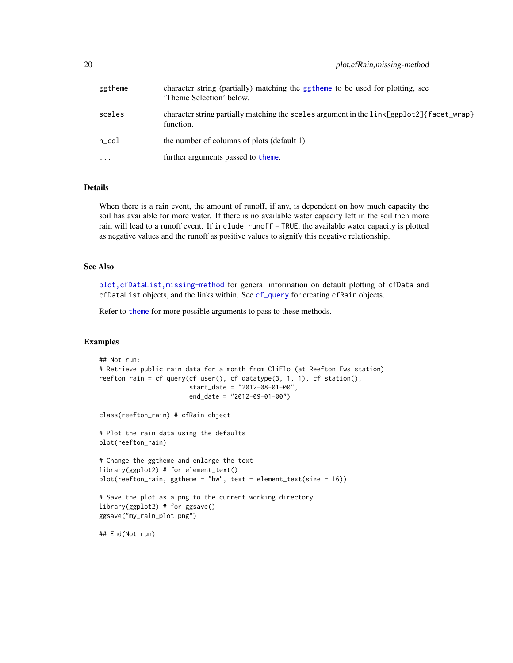<span id="page-19-0"></span>

| ggtheme   | character string (partially) matching the ggtheme to be used for plotting, see<br>'Theme Selection' below. |
|-----------|------------------------------------------------------------------------------------------------------------|
| scales    | character string partially matching the scales argument in the link[ggplot2]{facet_wrap}<br>function.      |
| n col     | the number of columns of plots (default 1).                                                                |
| $\ddotsc$ | further arguments passed to theme.                                                                         |

#### Details

When there is a rain event, the amount of runoff, if any, is dependent on how much capacity the soil has available for more water. If there is no available water capacity left in the soil then more rain will lead to a runoff event. If include\_runoff = TRUE, the available water capacity is plotted as negative values and the runoff as positive values to signify this negative relationship.

#### See Also

[plot,cfDataList,missing-method](#page-0-0) for general information on default plotting of cfData and cfDataList objects, and the links within. See [cf\\_query](#page-9-1) for creating cfRain objects.

Refer to [theme](#page-0-0) for more possible arguments to pass to these methods.

#### Examples

```
## Not run:
# Retrieve public rain data for a month from CliFlo (at Reefton Ews station)
reefton_rain = cf_query(cf_user(), cf_datatype(3, 1, 1), cf_station(),
                        start_date = "2012-08-01-00",
                        end_date = "2012-09-01-00")
class(reefton_rain) # cfRain object
# Plot the rain data using the defaults
plot(reefton_rain)
# Change the ggtheme and enlarge the text
library(ggplot2) # for element_text()
plot(reefton_rain, ggtheme = "bw", text = element_text(size = 16))
# Save the plot as a png to the current working directory
library(ggplot2) # for ggsave()
ggsave("my_rain_plot.png")
## End(Not run)
```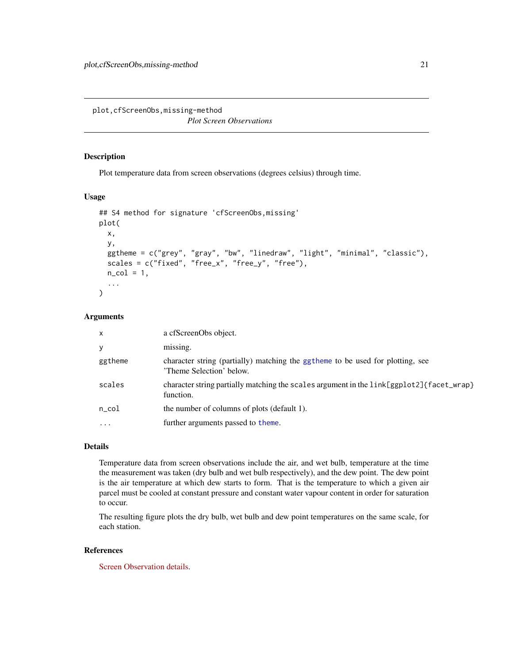<span id="page-20-0"></span>plot,cfScreenObs,missing-method *Plot Screen Observations*

#### <span id="page-20-1"></span>Description

Plot temperature data from screen observations (degrees celsius) through time.

#### Usage

```
## S4 method for signature 'cfScreenObs,missing'
plot(
  x,
 y,
  ggtheme = c("grey", "gray", "bw", "linedraw", "light", "minimal", "classic"),
  scales = c("fixed", "free_x", "free_y", "free",n_{col} = 1,
  ...
)
```
#### Arguments

| $\times$   | a cfScreenObs object.                                                                                      |
|------------|------------------------------------------------------------------------------------------------------------|
| y          | missing.                                                                                                   |
| ggtheme    | character string (partially) matching the ggtheme to be used for plotting, see<br>'Theme Selection' below. |
| scales     | character string partially matching the scales argument in the link[ggplot2]{facet_wrap}<br>function.      |
| $n\_{col}$ | the number of columns of plots (default 1).                                                                |
| $\ddotsc$  | further arguments passed to theme.                                                                         |
|            |                                                                                                            |

#### Details

Temperature data from screen observations include the air, and wet bulb, temperature at the time the measurement was taken (dry bulb and wet bulb respectively), and the dew point. The dew point is the air temperature at which dew starts to form. That is the temperature to which a given air parcel must be cooled at constant pressure and constant water vapour content in order for saturation to occur.

The resulting figure plots the dry bulb, wet bulb and dew point temperatures on the same scale, for each station.

#### References

[Screen Observation details.](https://cliflo.niwa.co.nz/pls/niwp/wh.do_help?id=ls_scr1)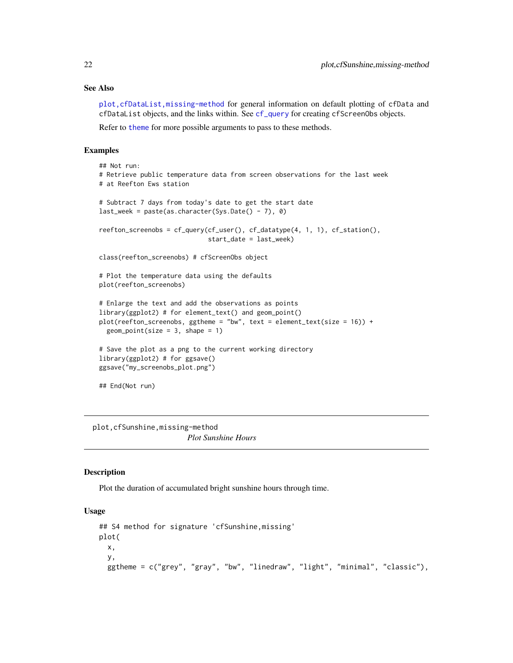#### See Also

[plot,cfDataList,missing-method](#page-0-0) for general information on default plotting of cfData and cfDataList objects, and the links within. See [cf\\_query](#page-9-1) for creating cfScreenObs objects.

Refer to [theme](#page-0-0) for more possible arguments to pass to these methods.

#### Examples

```
## Not run:
# Retrieve public temperature data from screen observations for the last week
# at Reefton Ews station
# Subtract 7 days from today's date to get the start date
last_week = paste(as.character(Sys.Date() - 7), 0)
reefton_screenobs = cf_query(cf_user(), cf_datatype(4, 1, 1), cf_station(),
                             start_date = last_week)
class(reefton_screenobs) # cfScreenObs object
# Plot the temperature data using the defaults
plot(reefton_screenobs)
# Enlarge the text and add the observations as points
library(ggplot2) # for element_text() and geom_point()
plot(reefton_screenobs, ggtheme = "bw", text = element_text(size = 16)) +
 geom\_point(size = 3, shape = 1)# Save the plot as a png to the current working directory
library(ggplot2) # for ggsave()
ggsave("my_screenobs_plot.png")
## End(Not run)
```
plot,cfSunshine,missing-method *Plot Sunshine Hours*

#### <span id="page-21-1"></span>Description

Plot the duration of accumulated bright sunshine hours through time.

#### Usage

```
## S4 method for signature 'cfSunshine,missing'
plot(
 x,
 y,
 ggtheme = c("grey", "gray", "bw", "linedraw", "light", "minimal", "classic"),
```
<span id="page-21-0"></span>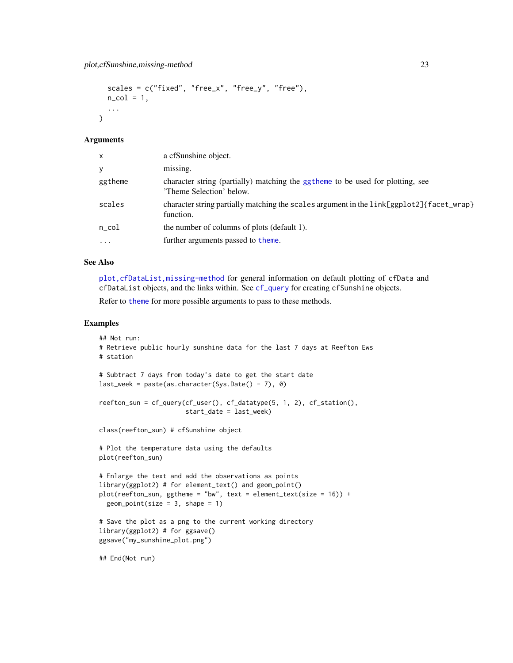```
scales = c("fixed", "free_x", "free_y", "free",n_{col} = 1,
...
```
#### Arguments

 $\lambda$ 

| $\times$   | a cfSunshine object.                                                                                       |
|------------|------------------------------------------------------------------------------------------------------------|
| y          | missing.                                                                                                   |
| ggtheme    | character string (partially) matching the ggtheme to be used for plotting, see<br>'Theme Selection' below. |
| scales     | character string partially matching the scales argument in the link[ggplot2]{facet_wrap}<br>function.      |
| $n\_{col}$ | the number of columns of plots (default 1).                                                                |
| $\cdots$   | further arguments passed to theme.                                                                         |

#### See Also

[plot,cfDataList,missing-method](#page-0-0) for general information on default plotting of cfData and cfDataList objects, and the links within. See [cf\\_query](#page-9-1) for creating cfSunshine objects.

Refer to [theme](#page-0-0) for more possible arguments to pass to these methods.

#### Examples

```
## Not run:
# Retrieve public hourly sunshine data for the last 7 days at Reefton Ews
# station
# Subtract 7 days from today's date to get the start date
last_week = paste(as.character(Sys.Date() - 7), 0)
reefton_sun = cf_query(cf_user(), cf_datatype(5, 1, 2), cf_station(),
                       start_date = last_week)
class(reefton_sun) # cfSunshine object
# Plot the temperature data using the defaults
plot(reefton_sun)
# Enlarge the text and add the observations as points
library(ggplot2) # for element_text() and geom_point()
plot(reefton_sum, ggheme = "bw", text = element_test(size = 16)) +geom\_point(size = 3, shape = 1)# Save the plot as a png to the current working directory
library(ggplot2) # for ggsave()
ggsave("my_sunshine_plot.png")
## End(Not run)
```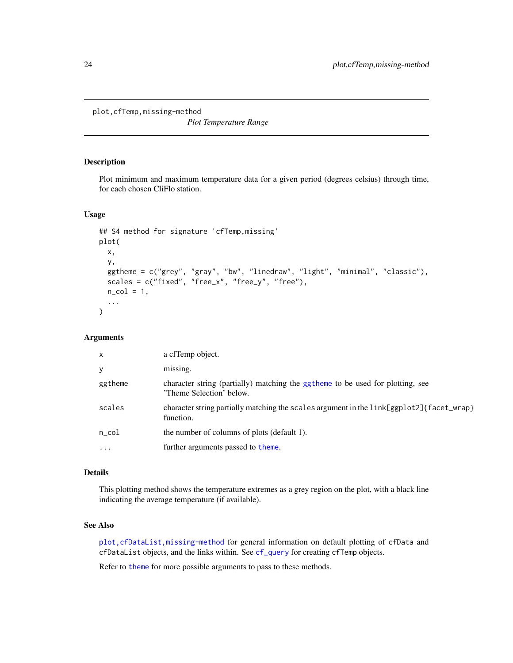<span id="page-23-0"></span>plot,cfTemp,missing-method

*Plot Temperature Range*

#### <span id="page-23-1"></span>Description

Plot minimum and maximum temperature data for a given period (degrees celsius) through time, for each chosen CliFlo station.

#### Usage

```
## S4 method for signature 'cfTemp,missing'
plot(
  x,
  y,
  ggtheme = c("grey", "gray", "bw", "linedraw", "light", "minimal", "classic"),
 scales = c("fixed", "free_x", "free_y", "free"),
 n_{col} = 1,
  ...
\mathcal{L}
```
#### Arguments

| $\times$   | a cfTemp object.                                                                                           |
|------------|------------------------------------------------------------------------------------------------------------|
| У          | missing.                                                                                                   |
| ggtheme    | character string (partially) matching the ggtheme to be used for plotting, see<br>'Theme Selection' below. |
| scales     | character string partially matching the scales argument in the link[ggplot2]{facet_wrap}<br>function.      |
| $n\_{col}$ | the number of columns of plots (default 1).                                                                |
| $\cdots$   | further arguments passed to theme.                                                                         |

#### Details

This plotting method shows the temperature extremes as a grey region on the plot, with a black line indicating the average temperature (if available).

#### See Also

[plot,cfDataList,missing-method](#page-0-0) for general information on default plotting of cfData and cfDataList objects, and the links within. See [cf\\_query](#page-9-1) for creating cfTemp objects.

Refer to [theme](#page-0-0) for more possible arguments to pass to these methods.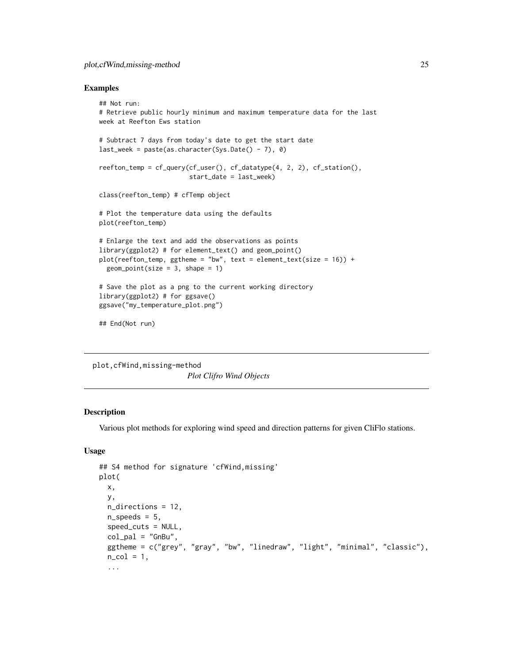#### <span id="page-24-0"></span>plot,cfWind,missing-method 25

#### Examples

```
## Not run:
# Retrieve public hourly minimum and maximum temperature data for the last
week at Reefton Ews station
# Subtract 7 days from today's date to get the start date
last\_week = paste(as.character(Sys.Date() - 7), 0)reefton_temp = cf_query(cf_user(), cf_datatype(4, 2, 2), cf_station(),
                        start_date = last_week)
class(reefton_temp) # cfTemp object
# Plot the temperature data using the defaults
plot(reefton_temp)
# Enlarge the text and add the observations as points
library(ggplot2) # for element_text() and geom_point()
plot(reefton_temp, ggtheme = "bw", text = element_text(size = 16)) +geom\_point(size = 3, shape = 1)# Save the plot as a png to the current working directory
library(ggplot2) # for ggsave()
ggsave("my_temperature_plot.png")
## End(Not run)
```
plot,cfWind,missing-method *Plot Clifro Wind Objects*

#### <span id="page-24-1"></span>Description

Various plot methods for exploring wind speed and direction patterns for given CliFlo stations.

#### Usage

```
## S4 method for signature 'cfWind,missing'
plot(
  x,
  y,
  n_directions = 12,
  n_speeds = 5,
  speed_cuts = NULL,
  col\_pal = "GnBu",ggtheme = c("grey", "gray", "bw", "linedraw", "light", "minimal", "classic"),
  n_{col} = 1,
  ...
```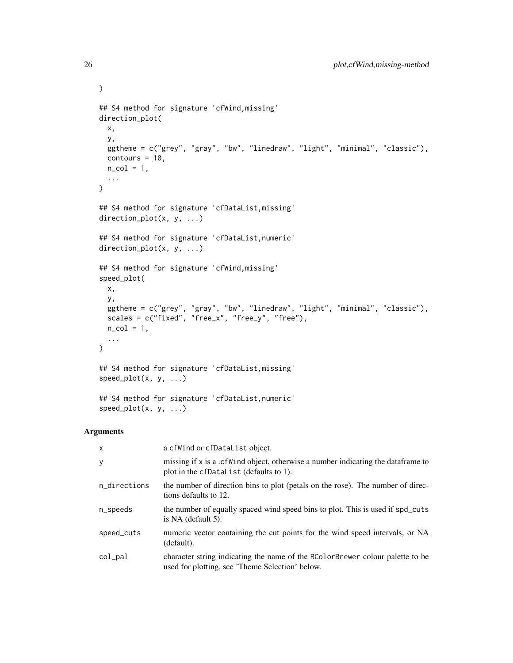```
## S4 method for signature 'cfWind,missing'
direction_plot(
 x,
 y,
 ggtheme = c("grey", "gray", "bw", "linedraw", "light", "minimal", "classic"),
 contours = 10,
 n_{col} = 1,
  ...
\mathcal{L}## S4 method for signature 'cfDataList,missing'
direction_plot(x, y, ...)
## S4 method for signature 'cfDataList,numeric'
direction_plot(x, y, ...)
## S4 method for signature 'cfWind,missing'
speed_plot(
 x,
 y,
  ggtheme = c("grey", "gray", "bw", "linedraw", "light", "minimal", "classic"),
 scales = c("fixed", "free_x", "free_y", "free",n_{col} = 1,
  ...
\mathcal{L}## S4 method for signature 'cfDataList,missing'
speed_plot(x, y, ...)
## S4 method for signature 'cfDataList,numeric'
speed\_plot(x, y, ...)
```
#### Arguments

| $\times$     | a cfWind or cfDataList object.                                                                                                   |
|--------------|----------------------------------------------------------------------------------------------------------------------------------|
| y            | missing if x is a .cf Wind object, otherwise a number indicating the data frame to<br>plot in the cfDataList (defaults to 1).    |
| n_directions | the number of direction bins to plot (petals on the rose). The number of direc-<br>tions defaults to 12.                         |
| n_speeds     | the number of equally spaced wind speed bins to plot. This is used if spd_cuts<br>is $NA$ (default 5).                           |
| speed_cuts   | numeric vector containing the cut points for the wind speed intervals, or NA<br>(default).                                       |
| $col$ $pal$  | character string indicating the name of the RColorBrewer colour palette to be<br>used for plotting, see 'Theme Selection' below. |

 $\mathcal{L}$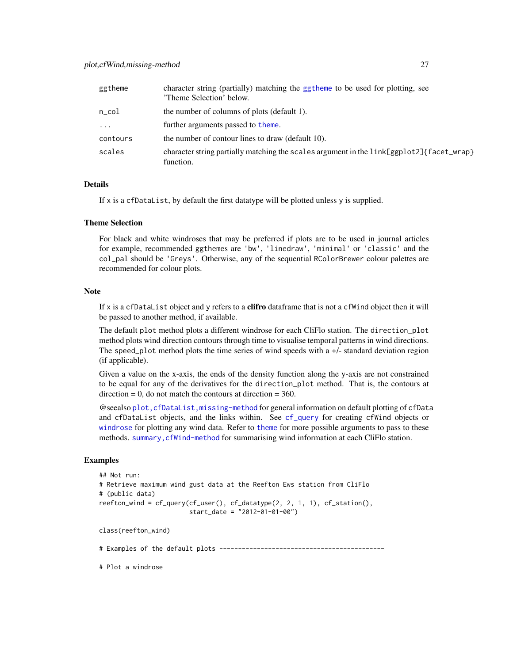<span id="page-26-0"></span>

| ggtheme    | character string (partially) matching the ggtheme to be used for plotting, see<br>'Theme Selection' below. |
|------------|------------------------------------------------------------------------------------------------------------|
| $n\_{col}$ | the number of columns of plots (default 1).                                                                |
| $\cdots$   | further arguments passed to theme.                                                                         |
| contours   | the number of contour lines to draw (default 10).                                                          |
| scales     | character string partially matching the scales argument in the link[ggplot2]{facet_wrap}<br>function.      |

#### **Details**

If x is a cfDataList, by default the first datatype will be plotted unless y is supplied.

#### Theme Selection

For black and white windroses that may be preferred if plots are to be used in journal articles for example, recommended ggthemes are 'bw', 'linedraw', 'minimal' or 'classic' and the col\_pal should be 'Greys'. Otherwise, any of the sequential RColorBrewer colour palettes are recommended for colour plots.

#### Note

If x is a cfDataList object and y refers to a **clifro** dataframe that is not a cfWind object then it will be passed to another method, if available.

The default plot method plots a different windrose for each CliFlo station. The direction\_plot method plots wind direction contours through time to visualise temporal patterns in wind directions. The speed\_plot method plots the time series of wind speeds with a +/- standard deviation region (if applicable).

Given a value on the x-axis, the ends of the density function along the y-axis are not constrained to be equal for any of the derivatives for the direction\_plot method. That is, the contours at  $direction = 0$ , do not match the contours at direction  $= 360$ .

@seealso [plot,cfDataList,missing-method](#page-0-0) for general information on default plotting of cfData and cfDataList objects, and the links within. See [cf\\_query](#page-9-1) for creating cfWind objects or [windrose](#page-30-1) for plotting any wind data. Refer to [theme](#page-0-0) for more possible arguments to pass to these methods. summary, cfWind-method for summarising wind information at each CliFlo station.

#### Examples

```
## Not run:
# Retrieve maximum wind gust data at the Reefton Ews station from CliFlo
# (public data)
reefton_wind = cf_query(cf_user(), cf_datatype(2, 2, 1, 1), cf_station(),
                        start_date = "2012-01-01-00")
class(reefton_wind)
```
# Examples of the default plots --------------------------------------------

# Plot a windrose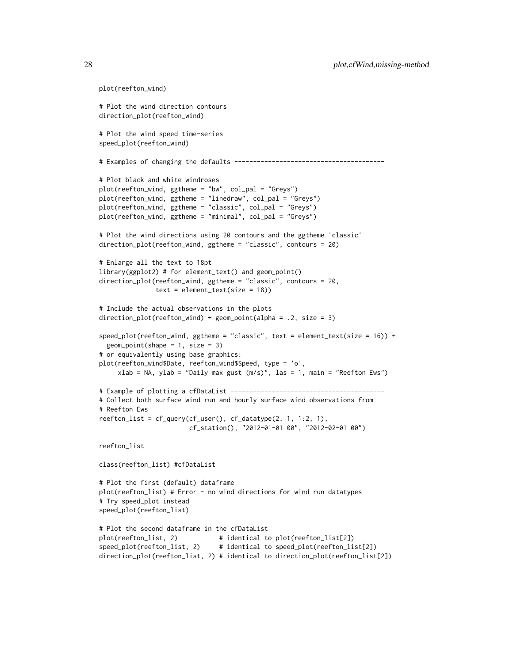```
# Plot the wind direction contours
direction_plot(reefton_wind)
# Plot the wind speed time-series
speed_plot(reefton_wind)
# Examples of changing the defaults ----------------------------------------
# Plot black and white windroses
plot(reefton_wind, ggtheme = "bw", col_pal = "Greys")
plot(reefton_wind, ggtheme = "linedraw", col_pal = "Greys")
plot(reefton_wind, ggtheme = "classic", col_pal = "Greys")
plot(reefton_wind, ggtheme = "minimal", col_pal = "Greys")
# Plot the wind directions using 20 contours and the ggtheme 'classic'
direction_plot(reefton_wind, ggtheme = "classic", contours = 20)
# Enlarge all the text to 18pt
library(ggplot2) # for element_text() and geom_point()
direction_plot(reefton_wind, ggtheme = "classic", contours = 20,
              text = element\_text(size = 18))# Include the actual observations in the plots
direction_plot(reefton_wind) + geom_point(alpha = .2, size = 3)
speed_plot(reefton_wind, ggtheme = "classic", text = element_text(size = 16)) +
 geom\_point(shape = 1, size = 3)# or equivalently using base graphics:
plot(reefton_wind$Date, reefton_wind$Speed, type = 'o',
     xlab = NA, ylab = "Daily max gust (m/s)", las = 1, main = "Reefton Ews")
# Example of plotting a cfDataList -----------------------------------------
# Collect both surface wind run and hourly surface wind observations from
# Reefton Ews
reefton_list = cf_query(cf_user(), cf_datatype(2, 1, 1:2, 1),
                       cf_station(), "2012-01-01 00", "2012-02-01 00")
reefton_list
class(reefton_list) #cfDataList
# Plot the first (default) dataframe
plot(reefton_list) # Error - no wind directions for wind run datatypes
# Try speed_plot instead
speed_plot(reefton_list)
# Plot the second dataframe in the cfDataList
plot(reefton_list, 2) # identical to plot(reefton_list[2])
speed_plot(reefton_list, 2) # identical to speed_plot(reefton_list[2])
direction_plot(reefton_list, 2) # identical to direction_plot(reefton_list[2])
```
plot(reefton\_wind)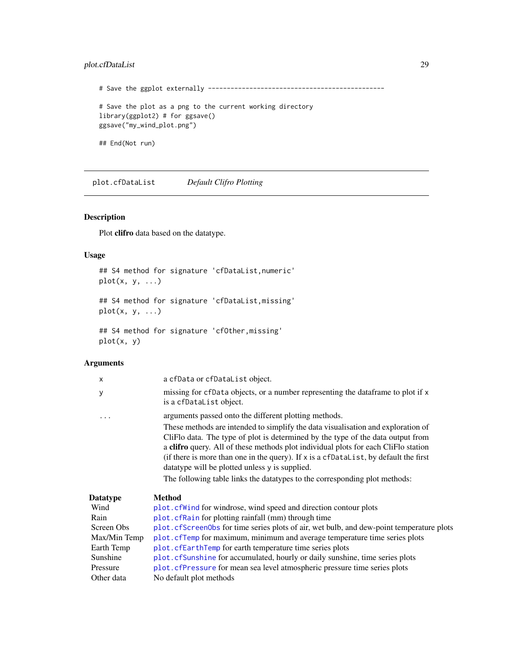#### <span id="page-28-0"></span>plot.cfDataList 29

```
# Save the ggplot externally -----------------------------------------------
# Save the plot as a png to the current working directory
library(ggplot2) # for ggsave()
ggsave("my_wind_plot.png")
## End(Not run)
```
plot.cfDataList *Default Clifro Plotting*

#### Description

Plot clifro data based on the datatype.

#### Usage

## S4 method for signature 'cfDataList,numeric' plot(x, y, ...) ## S4 method for signature 'cfDataList,missing'

 $plot(x, y, ...)$ 

```
## S4 method for signature 'cfOther,missing'
plot(x, y)
```
#### Arguments

| X            | a cfData or cfDataList object.                                                                                                                                                                                                                                                                                                                                                                                                                                                                                                              |
|--------------|---------------------------------------------------------------------------------------------------------------------------------------------------------------------------------------------------------------------------------------------------------------------------------------------------------------------------------------------------------------------------------------------------------------------------------------------------------------------------------------------------------------------------------------------|
| у            | missing for cfData objects, or a number representing the data frame to plot if x<br>is a cfDataList object.                                                                                                                                                                                                                                                                                                                                                                                                                                 |
| .            | arguments passed onto the different plotting methods.<br>These methods are intended to simplify the data visualisation and exploration of<br>CliFlo data. The type of plot is determined by the type of the data output from<br>a clifro query. All of these methods plot individual plots for each CliFlo station<br>(if there is more than one in the query). If x is a cfDataList, by default the first<br>data type will be plotted unless y is supplied.<br>The following table links the datatypes to the corresponding plot methods: |
| Datatype     | <b>Method</b>                                                                                                                                                                                                                                                                                                                                                                                                                                                                                                                               |
| Wind         | plot.cfWind for windrose, wind speed and direction contour plots                                                                                                                                                                                                                                                                                                                                                                                                                                                                            |
| Rain         | plot. cfRain for plotting rainfall (mm) through time                                                                                                                                                                                                                                                                                                                                                                                                                                                                                        |
| Screen Obs   | plot. cfScreen0bs for time series plots of air, wet bulb, and dew-point temperature plots                                                                                                                                                                                                                                                                                                                                                                                                                                                   |
| Max/Min Temp | plot. cfTemp for maximum, minimum and average temperature time series plots                                                                                                                                                                                                                                                                                                                                                                                                                                                                 |
| Earth Temp   | plot.cfEarthTemp for earth temperature time series plots                                                                                                                                                                                                                                                                                                                                                                                                                                                                                    |
| Sunshine     | plot.cfSunshine for accumulated, hourly or daily sunshine, time series plots                                                                                                                                                                                                                                                                                                                                                                                                                                                                |
| Pressure     | plot. cfPressure for mean sea level atmospheric pressure time series plots                                                                                                                                                                                                                                                                                                                                                                                                                                                                  |
| Other data   | No default plot methods                                                                                                                                                                                                                                                                                                                                                                                                                                                                                                                     |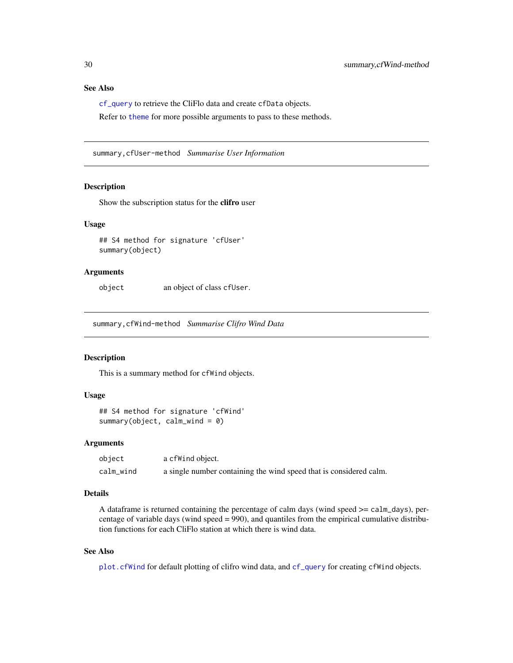#### <span id="page-29-0"></span>See Also

[cf\\_query](#page-9-1) to retrieve the CliFlo data and create cfData objects.

Refer to [theme](#page-0-0) for more possible arguments to pass to these methods.

summary,cfUser-method *Summarise User Information*

#### Description

Show the subscription status for the clifro user

#### Usage

```
## S4 method for signature 'cfUser'
summary(object)
```
#### Arguments

object an object of class cfUser.

summary,cfWind-method *Summarise Clifro Wind Data*

#### Description

This is a summary method for cfWind objects.

#### Usage

```
## S4 method for signature 'cfWind'
summary(object, calm_wind = 0)
```
#### Arguments

| object    | a cfWind object.                                                   |
|-----------|--------------------------------------------------------------------|
| calm_wind | a single number containing the wind speed that is considered calm. |

#### Details

A dataframe is returned containing the percentage of calm days (wind speed >= calm\_days), percentage of variable days (wind speed  $= 990$ ), and quantiles from the empirical cumulative distribution functions for each CliFlo station at which there is wind data.

#### See Also

[plot.cfWind](#page-24-1) for default plotting of clifro wind data, and [cf\\_query](#page-9-1) for creating cfWind objects.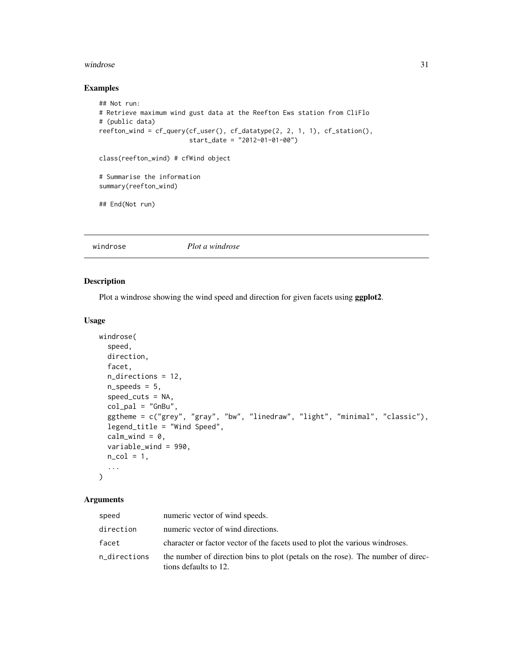#### <span id="page-30-0"></span>windrose 31

#### Examples

```
## Not run:
# Retrieve maximum wind gust data at the Reefton Ews station from CliFlo
# (public data)
reefton_wind = cf_query(cf_user(), cf_datatype(2, 2, 1, 1), cf_station(),
                        start_date = "2012-01-01-00")
class(reefton_wind) # cfWind object
# Summarise the information
summary(reefton_wind)
## End(Not run)
```
<span id="page-30-1"></span>

windrose *Plot a windrose*

#### Description

Plot a windrose showing the wind speed and direction for given facets using ggplot2.

#### Usage

```
windrose(
  speed,
 direction,
  facet,
  n_directions = 12,
  n_speeds = 5,
  speed_cuts = NA,
  col\_pal = "GnBu",ggtheme = c("grey", "gray", "bw", "linedraw", "light", "minimal", "classic"),
  legend_title = "Wind Speed",
  calm_wind = 0,
  variable_wind = 990,
 n_{col} = 1,
  ...
\mathcal{L}
```
#### Arguments

| speed        | numeric vector of wind speeds.                                                                           |
|--------------|----------------------------------------------------------------------------------------------------------|
| direction    | numeric vector of wind directions.                                                                       |
| facet        | character or factor vector of the facets used to plot the various windroses.                             |
| n_directions | the number of direction bins to plot (petals on the rose). The number of direc-<br>tions defaults to 12. |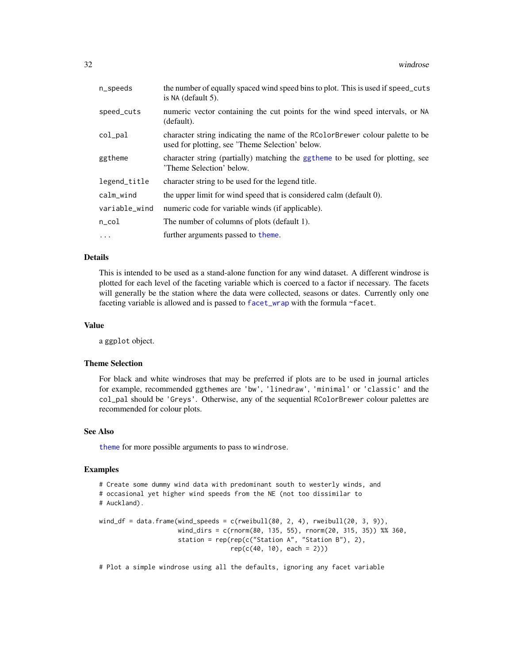<span id="page-31-0"></span>

| n_speeds      | the number of equally spaced wind speed bins to plot. This is used if speed_cuts<br>is NA (default 5).                           |
|---------------|----------------------------------------------------------------------------------------------------------------------------------|
| speed_cuts    | numeric vector containing the cut points for the wind speed intervals, or NA<br>(default).                                       |
| $col$ $pal$   | character string indicating the name of the RColorBrewer colour palette to be<br>used for plotting, see 'Theme Selection' below. |
| ggtheme       | character string (partially) matching the ggtheme to be used for plotting, see<br>'Theme Selection' below.                       |
| legend_title  | character string to be used for the legend title.                                                                                |
| calm_wind     | the upper limit for wind speed that is considered calm (default 0).                                                              |
| variable_wind | numeric code for variable winds (if applicable).                                                                                 |
| n_col         | The number of columns of plots (default 1).                                                                                      |
| $\cdots$      | further arguments passed to theme.                                                                                               |

#### Details

This is intended to be used as a stand-alone function for any wind dataset. A different windrose is plotted for each level of the faceting variable which is coerced to a factor if necessary. The facets will generally be the station where the data were collected, seasons or dates. Currently only one faceting variable is allowed and is passed to [facet\\_wrap](#page-0-0) with the formula ~facet.

#### Value

a ggplot object.

#### Theme Selection

For black and white windroses that may be preferred if plots are to be used in journal articles for example, recommended ggthemes are 'bw', 'linedraw', 'minimal' or 'classic' and the col\_pal should be 'Greys'. Otherwise, any of the sequential RColorBrewer colour palettes are recommended for colour plots.

#### See Also

[theme](#page-0-0) for more possible arguments to pass to windrose.

#### Examples

```
# Create some dummy wind data with predominant south to westerly winds, and
# occasional yet higher wind speeds from the NE (not too dissimilar to
# Auckland).
wind_df = data.frame(wind_speeds = c(rweibull(80, 2, 4), rweibull(20, 3, 9)),
                     wind_dirs = c(rnorm(80, 135, 55), rnorm(20, 315, 35)) %% 360,
```
station = rep(rep(c("Station A", "Station B"), 2),  $rep(c(40, 10), each = 2))$ 

```
# Plot a simple windrose using all the defaults, ignoring any facet variable
```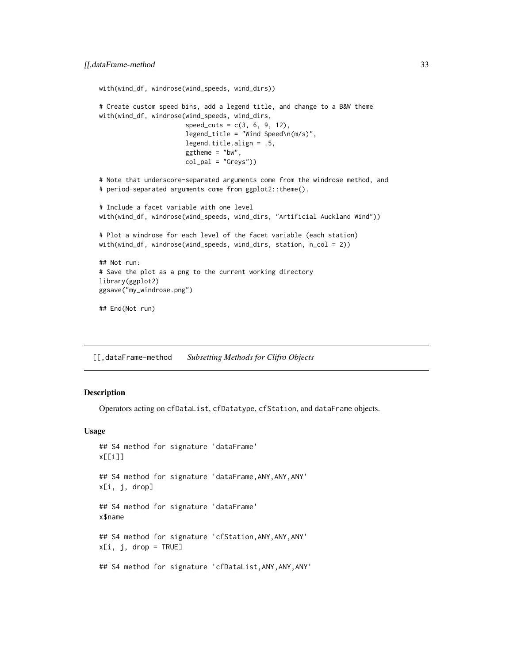```
with(wind_df, windrose(wind_speeds, wind_dirs))
# Create custom speed bins, add a legend title, and change to a B&W theme
with(wind_df, windrose(wind_speeds, wind_dirs,
                       speed\_cuts = c(3, 6, 9, 12),
                       legend\_title = "Wind Speed\n(m/s)",
                       legend.title.align = .5,
                       ggtheme = "bw",
                       col\_pal = "Greys"))# Note that underscore-separated arguments come from the windrose method, and
# period-separated arguments come from ggplot2::theme().
# Include a facet variable with one level
with(wind_df, windrose(wind_speeds, wind_dirs, "Artificial Auckland Wind"))
# Plot a windrose for each level of the facet variable (each station)
with(wind_df, windrose(wind_speeds, wind_dirs, station, n_col = 2))
## Not run:
# Save the plot as a png to the current working directory
library(ggplot2)
ggsave("my_windrose.png")
## End(Not run)
```
[[,dataFrame-method *Subsetting Methods for Clifro Objects*

#### **Description**

Operators acting on cfDataList, cfDatatype, cfStation, and dataFrame objects.

#### Usage

```
## S4 method for signature 'dataFrame'
x[[i]]
## S4 method for signature 'dataFrame,ANY,ANY,ANY'
x[i, j, drop]
## S4 method for signature 'dataFrame'
x$name
## S4 method for signature 'cfStation,ANY,ANY,ANY'
x[i, j, drop = TRUE]## S4 method for signature 'cfDataList,ANY,ANY,ANY'
```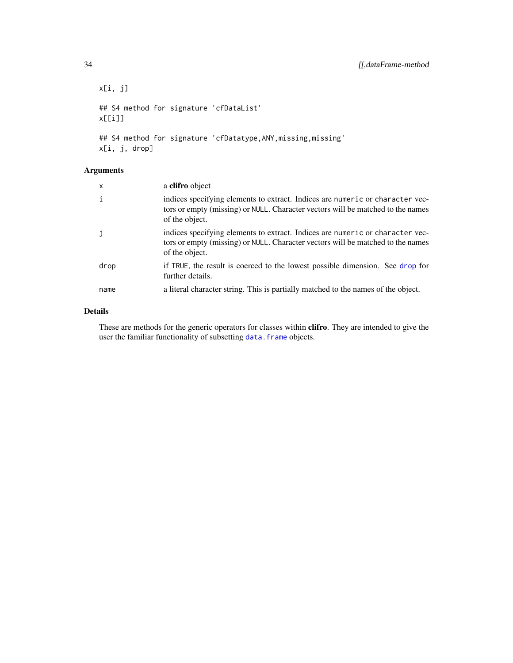```
x[i, j]
## S4 method for signature 'cfDataList'
x[[i]]
## S4 method for signature 'cfDatatype, ANY, missing, missing'
```
## Arguments

x[i, j, drop]

| X    | a clifro object                                                                                                                                                                    |
|------|------------------------------------------------------------------------------------------------------------------------------------------------------------------------------------|
| ı.   | indices specifying elements to extract. Indices are numeric or character vec-<br>tors or empty (missing) or NULL. Character vectors will be matched to the names<br>of the object. |
|      | indices specifying elements to extract. Indices are numeric or character vec-<br>tors or empty (missing) or NULL. Character vectors will be matched to the names<br>of the object. |
| drop | if TRUE, the result is coerced to the lowest possible dimension. See drop for<br>further details.                                                                                  |
| name | a literal character string. This is partially matched to the names of the object.                                                                                                  |

#### Details

These are methods for the generic operators for classes within clifro. They are intended to give the user the familiar functionality of subsetting data. frame objects.

<span id="page-33-0"></span>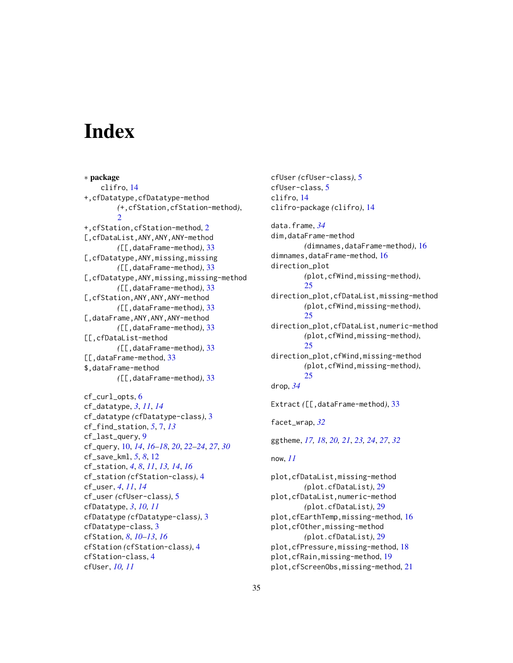# <span id="page-34-0"></span>**Index**

∗ package clifro, [14](#page-13-0) +,cfDatatype,cfDatatype-method *(*+,cfStation,cfStation-method*)*,  $\mathcal{D}$ +,cfStation,cfStation-method, [2](#page-1-0) [,cfDataList,ANY,ANY,ANY-method *(*[[,dataFrame-method*)*, [33](#page-32-0) [,cfDatatype,ANY,missing,missing *(*[[,dataFrame-method*)*, [33](#page-32-0) [,cfDatatype,ANY,missing,missing-method *(*[[,dataFrame-method*)*, [33](#page-32-0) [,cfStation,ANY,ANY,ANY-method *(*[[,dataFrame-method*)*, [33](#page-32-0) [,dataFrame,ANY,ANY,ANY-method *(*[[,dataFrame-method*)*, [33](#page-32-0) [[,cfDataList-method *(*[[,dataFrame-method*)*, [33](#page-32-0) [[,dataFrame-method, [33](#page-32-0) \$,dataFrame-method *(*[[,dataFrame-method*)*, [33](#page-32-0)

```
cf_curl_opts, 6
cf_datatype, 3, 11, 14
cf_datatype (cfDatatype-class), 3
cf_find_station, 5, 7, 13
cf_last_query, 9
cf_query, 10, 14, 16–18, 20, 22–24, 27, 30
cf_save_kml, 5, 8, 12
cf_station, 4, 8, 11, 13, 14, 16
cf_station (cfStation-class), 4
cf_user, 4, 11, 14
cf_user (cfUser-class), 5
cfDatatype, 3, 10, 11
cfDatatype (cfDatatype-class), 3
cfDatatype-class, 3
cfStation, 8, 10–13, 16
cfStation (cfStation-class), 4
cfStation-class, 4
cfUser, 10, 11
```
cfUser *(*cfUser-class*)*, [5](#page-4-0) cfUser-class, [5](#page-4-0) clifro, [14](#page-13-0) clifro-package *(*clifro*)*, [14](#page-13-0)

data.frame, *[34](#page-33-0)* dim,dataFrame-method *(*dimnames,dataFrame-method*)*, [16](#page-15-0) dimnames,dataFrame-method, [16](#page-15-0) direction\_plot *(*plot,cfWind,missing-method*)*, [25](#page-24-0) direction\_plot,cfDataList,missing-method *(*plot,cfWind,missing-method*)*, [25](#page-24-0) direction\_plot,cfDataList,numeric-method *(*plot,cfWind,missing-method*)*,  $25$ direction\_plot,cfWind,missing-method *(*plot,cfWind,missing-method*)*, [25](#page-24-0) drop, *[34](#page-33-0)* Extract *(*[[,dataFrame-method*)*, [33](#page-32-0) facet\_wrap, *[32](#page-31-0)* ggtheme, *[17,](#page-16-0) [18](#page-17-0)*, *[20,](#page-19-0) [21](#page-20-0)*, *[23,](#page-22-0) [24](#page-23-0)*, *[27](#page-26-0)*, *[32](#page-31-0)*

```
now, 11
```
plot,cfDataList,missing-method *(*plot.cfDataList*)*, [29](#page-28-0) plot,cfDataList,numeric-method *(*plot.cfDataList*)*, [29](#page-28-0) plot,cfEarthTemp,missing-method, [16](#page-15-0) plot,cfOther,missing-method *(*plot.cfDataList*)*, [29](#page-28-0) plot,cfPressure,missing-method, [18](#page-17-0) plot,cfRain,missing-method, [19](#page-18-0) plot,cfScreenObs,missing-method, [21](#page-20-0)